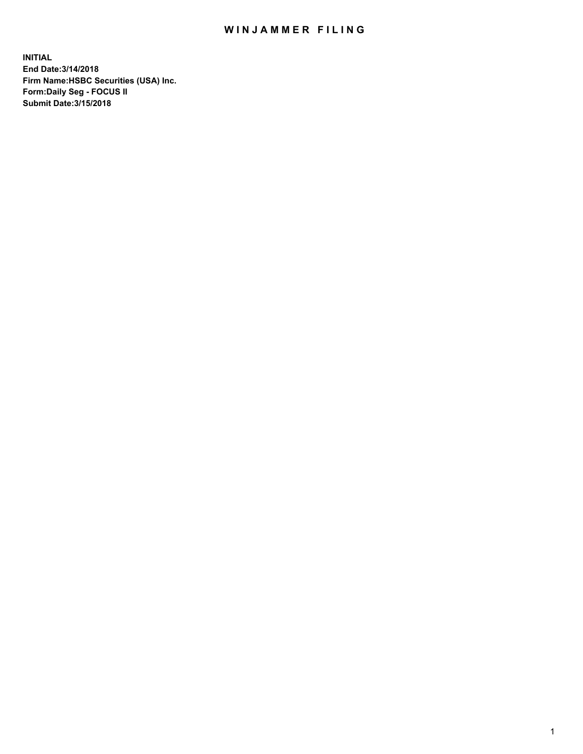## WIN JAMMER FILING

**INITIAL End Date:3/14/2018 Firm Name:HSBC Securities (USA) Inc. Form:Daily Seg - FOCUS II Submit Date:3/15/2018**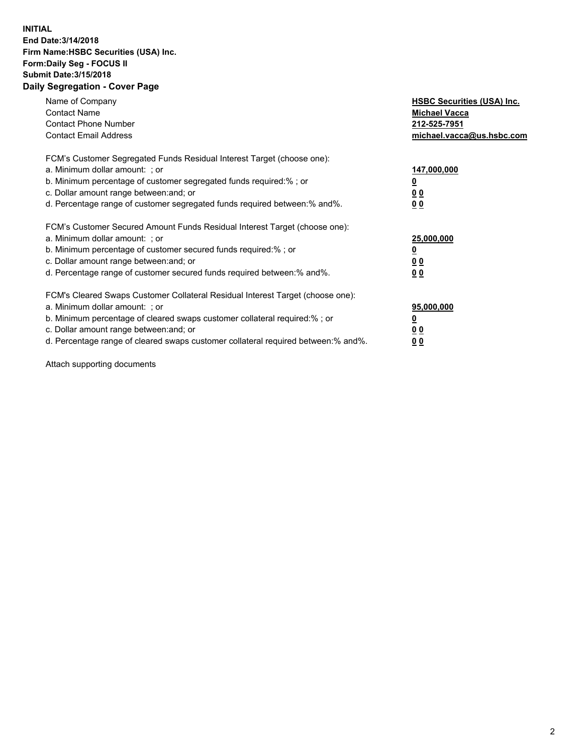## **INITIAL End Date:3/14/2018 Firm Name:HSBC Securities (USA) Inc. Form:Daily Seg - FOCUS II Submit Date:3/15/2018 Daily Segregation - Cover Page**

| Name of Company<br><b>Contact Name</b><br><b>Contact Phone Number</b><br><b>Contact Email Address</b>                                                                                                                                                                                                                         | <b>HSBC Securities (USA) Inc.</b><br><b>Michael Vacca</b><br>212-525-7951<br>michael.vacca@us.hsbc.com |
|-------------------------------------------------------------------------------------------------------------------------------------------------------------------------------------------------------------------------------------------------------------------------------------------------------------------------------|--------------------------------------------------------------------------------------------------------|
| FCM's Customer Segregated Funds Residual Interest Target (choose one):<br>a. Minimum dollar amount: ; or<br>b. Minimum percentage of customer segregated funds required:%; or<br>c. Dollar amount range between: and; or<br>d. Percentage range of customer segregated funds required between: % and %.                       | 147,000,000<br><u>0</u><br><u>00</u><br><u>00</u>                                                      |
| FCM's Customer Secured Amount Funds Residual Interest Target (choose one):<br>a. Minimum dollar amount: ; or<br>b. Minimum percentage of customer secured funds required:%; or<br>c. Dollar amount range between: and; or<br>d. Percentage range of customer secured funds required between: % and %.                         | 25,000,000<br><u>0</u><br><u>00</u><br>00                                                              |
| FCM's Cleared Swaps Customer Collateral Residual Interest Target (choose one):<br>a. Minimum dollar amount: ; or<br>b. Minimum percentage of cleared swaps customer collateral required:%; or<br>c. Dollar amount range between: and; or<br>d. Percentage range of cleared swaps customer collateral required between:% and%. | 95,000,000<br><u>0</u><br><u>00</u><br><u>00</u>                                                       |

Attach supporting documents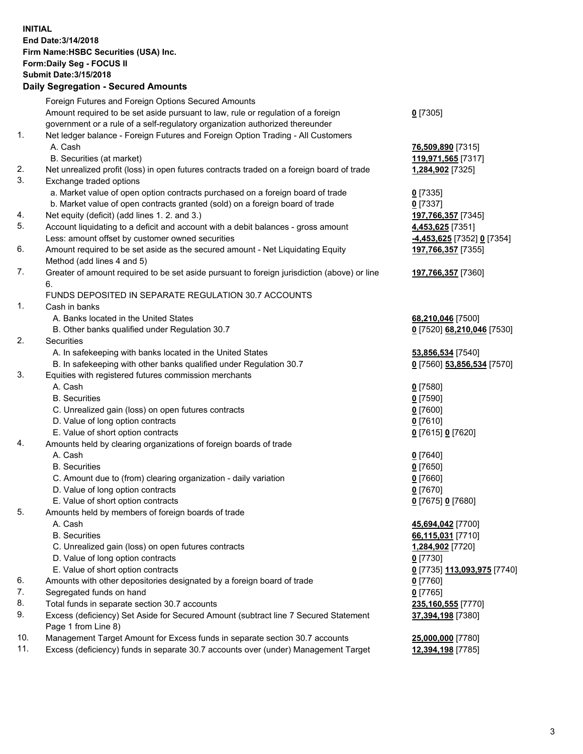**INITIAL End Date:3/14/2018 Firm Name:HSBC Securities (USA) Inc. Form:Daily Seg - FOCUS II Submit Date:3/15/2018 Daily Segregation - Secured Amounts**

|     | Foreign Futures and Foreign Options Secured Amounts                                         |                             |
|-----|---------------------------------------------------------------------------------------------|-----------------------------|
|     | Amount required to be set aside pursuant to law, rule or regulation of a foreign            | $0$ [7305]                  |
|     | government or a rule of a self-regulatory organization authorized thereunder                |                             |
| 1.  | Net ledger balance - Foreign Futures and Foreign Option Trading - All Customers             |                             |
|     | A. Cash                                                                                     | 76,509,890 [7315]           |
|     | B. Securities (at market)                                                                   | 119,971,565 [7317]          |
| 2.  | Net unrealized profit (loss) in open futures contracts traded on a foreign board of trade   | 1,284,902 [7325]            |
| 3.  | Exchange traded options                                                                     |                             |
|     | a. Market value of open option contracts purchased on a foreign board of trade              | $0$ [7335]                  |
|     | b. Market value of open contracts granted (sold) on a foreign board of trade                | $0$ [7337]                  |
| 4.  | Net equity (deficit) (add lines 1.2. and 3.)                                                | 197,766,357 [7345]          |
| 5.  | Account liquidating to a deficit and account with a debit balances - gross amount           | 4,453,625 [7351]            |
|     | Less: amount offset by customer owned securities                                            | -4,453,625 [7352] 0 [7354]  |
| 6.  | Amount required to be set aside as the secured amount - Net Liquidating Equity              | 197,766,357 [7355]          |
|     | Method (add lines 4 and 5)                                                                  |                             |
| 7.  | Greater of amount required to be set aside pursuant to foreign jurisdiction (above) or line | 197,766,357 [7360]          |
|     | 6.                                                                                          |                             |
|     | FUNDS DEPOSITED IN SEPARATE REGULATION 30.7 ACCOUNTS                                        |                             |
| 1.  | Cash in banks                                                                               |                             |
|     | A. Banks located in the United States                                                       | 68,210,046 [7500]           |
|     | B. Other banks qualified under Regulation 30.7                                              | 0 [7520] 68,210,046 [7530]  |
| 2.  | Securities                                                                                  |                             |
|     | A. In safekeeping with banks located in the United States                                   | 53,856,534 [7540]           |
|     | B. In safekeeping with other banks qualified under Regulation 30.7                          | 0 [7560] 53,856,534 [7570]  |
| 3.  | Equities with registered futures commission merchants                                       |                             |
|     | A. Cash                                                                                     | $0$ [7580]                  |
|     | <b>B.</b> Securities                                                                        | $0$ [7590]                  |
|     | C. Unrealized gain (loss) on open futures contracts                                         | $0$ [7600]                  |
|     | D. Value of long option contracts                                                           | $0$ [7610]                  |
|     | E. Value of short option contracts                                                          | 0 [7615] 0 [7620]           |
| 4.  | Amounts held by clearing organizations of foreign boards of trade                           |                             |
|     | A. Cash                                                                                     | $0$ [7640]                  |
|     | <b>B.</b> Securities                                                                        | $0$ [7650]                  |
|     | C. Amount due to (from) clearing organization - daily variation                             |                             |
|     | D. Value of long option contracts                                                           | $0$ [7660]                  |
|     |                                                                                             | $0$ [7670]                  |
|     | E. Value of short option contracts                                                          | 0 [7675] 0 [7680]           |
| 5.  | Amounts held by members of foreign boards of trade                                          |                             |
|     | A. Cash                                                                                     | 45,694,042 [7700]           |
|     | <b>B.</b> Securities                                                                        | 66,115,031 [7710]           |
|     | C. Unrealized gain (loss) on open futures contracts                                         | 1,284,902 [7720]            |
|     | D. Value of long option contracts                                                           | $0$ [7730]                  |
|     | E. Value of short option contracts                                                          | 0 [7735] 113,093,975 [7740] |
| 6.  | Amounts with other depositories designated by a foreign board of trade                      | $0$ [7760]                  |
| 7.  | Segregated funds on hand                                                                    | $0$ [7765]                  |
| 8.  | Total funds in separate section 30.7 accounts                                               | 235,160,555 [7770]          |
| 9.  | Excess (deficiency) Set Aside for Secured Amount (subtract line 7 Secured Statement         | 37,394,198 [7380]           |
|     | Page 1 from Line 8)                                                                         |                             |
| 10. | Management Target Amount for Excess funds in separate section 30.7 accounts                 | 25,000,000 [7780]           |
| 11. | Excess (deficiency) funds in separate 30.7 accounts over (under) Management Target          | 12,394,198 [7785]           |
|     |                                                                                             |                             |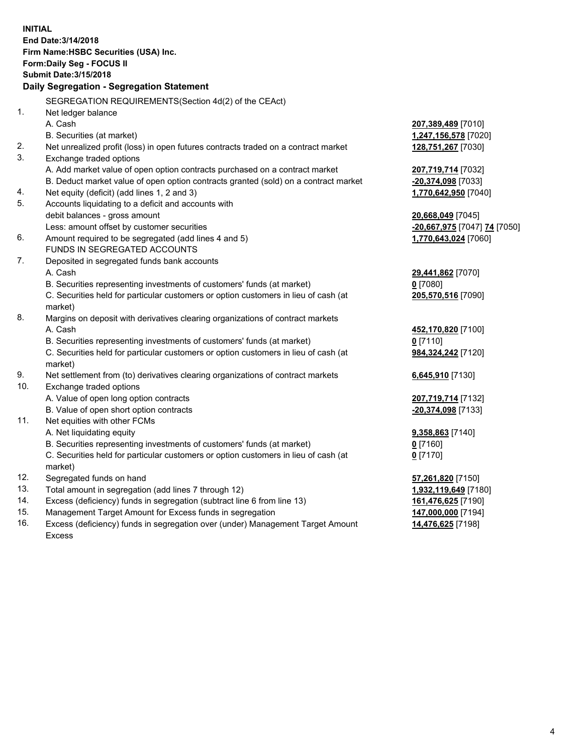**INITIAL End Date:3/14/2018 Firm Name:HSBC Securities (USA) Inc. Form:Daily Seg - FOCUS II Submit Date:3/15/2018 Daily Segregation - Segregation Statement** SEGREGATION REQUIREMENTS(Section 4d(2) of the CEAct) 1. Net ledger balance A. Cash **207,389,489** [7010] B. Securities (at market) **1,247,156,578** [7020] 2. Net unrealized profit (loss) in open futures contracts traded on a contract market **128,751,267** [7030] 3. Exchange traded options A. Add market value of open option contracts purchased on a contract market **207,719,714** [7032] B. Deduct market value of open option contracts granted (sold) on a contract market **-20,374,098** [7033] 4. Net equity (deficit) (add lines 1, 2 and 3) **1,770,642,950** [7040] 5. Accounts liquidating to a deficit and accounts with debit balances - gross amount **20,668,049** [7045] Less: amount offset by customer securities **-20,667,975** [7047] **74** [7050] 6. Amount required to be segregated (add lines 4 and 5) **1,770,643,024** [7060] FUNDS IN SEGREGATED ACCOUNTS 7. Deposited in segregated funds bank accounts A. Cash **29,441,862** [7070] B. Securities representing investments of customers' funds (at market) **0** [7080] C. Securities held for particular customers or option customers in lieu of cash (at market) **205,570,516** [7090] 8. Margins on deposit with derivatives clearing organizations of contract markets A. Cash **452,170,820** [7100] B. Securities representing investments of customers' funds (at market) **0** [7110] C. Securities held for particular customers or option customers in lieu of cash (at market) **984,324,242** [7120] 9. Net settlement from (to) derivatives clearing organizations of contract markets **6,645,910** [7130] 10. Exchange traded options A. Value of open long option contracts **207,719,714** [7132] B. Value of open short option contracts **-20,374,098** [7133] 11. Net equities with other FCMs A. Net liquidating equity **9,358,863** [7140] B. Securities representing investments of customers' funds (at market) **0** [7160] C. Securities held for particular customers or option customers in lieu of cash (at market) **0** [7170] 12. Segregated funds on hand **57,261,820** [7150] 13. Total amount in segregation (add lines 7 through 12) **1,932,119,649** [7180] 14. Excess (deficiency) funds in segregation (subtract line 6 from line 13) **161,476,625** [7190] 15. Management Target Amount for Excess funds in segregation **147,000,000** [7194]

16. Excess (deficiency) funds in segregation over (under) Management Target Amount Excess

**14,476,625** [7198]